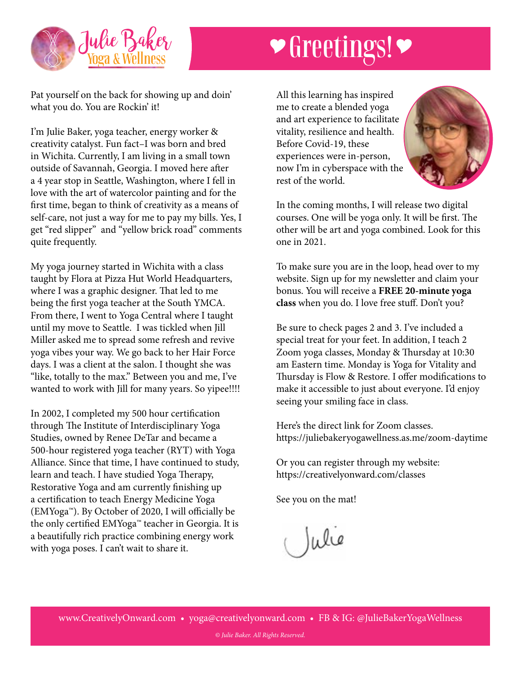

## **Secure Greetings!**

Pat yourself on the back for showing up and doin' what you do. You are Rockin' it!

I'm Julie Baker, yoga teacher, energy worker & creativity catalyst. Fun fact–I was born and bred in Wichita. Currently, I am living in a small town outside of Savannah, Georgia. I moved here after a 4 year stop in Seattle, Washington, where I fell in love with the art of watercolor painting and for the first time, began to think of creativity as a means of self-care, not just a way for me to pay my bills. Yes, I get "red slipper" and "yellow brick road" comments quite frequently.

My yoga journey started in Wichita with a class taught by Flora at Pizza Hut World Headquarters, where I was a graphic designer. That led to me being the first yoga teacher at the South YMCA. From there, I went to Yoga Central where I taught until my move to Seattle. I was tickled when Jill Miller asked me to spread some refresh and revive yoga vibes your way. We go back to her Hair Force days. I was a client at the salon. I thought she was "like, totally to the max." Between you and me, I've wanted to work with Jill for many years. So yipee!!!!

In 2002, I completed my 500 hour certification through The Institute of Interdisciplinary Yoga Studies, owned by Renee DeTar and became a 500-hour registered yoga teacher (RYT) with Yoga Alliance. Since that time, I have continued to study, learn and teach. I have studied Yoga Therapy, Restorative Yoga and am currently finishing up a certification to teach Energy Medicine Yoga (EMYoga™). By October of 2020, I will officially be the only certified EMYoga™ teacher in Georgia. It is a beautifully rich practice combining energy work with yoga poses. I can't wait to share it.

All this learning has inspired me to create a blended yoga and art experience to facilitate vitality, resilience and health. Before Covid-19, these experiences were in-person, now I'm in cyberspace with the rest of the world.



In the coming months, I will release two digital courses. One will be yoga only. It will be first. The other will be art and yoga combined. Look for this one in 2021.

To make sure you are in the loop, head over to my website. Sign up for my newsletter and claim your bonus. You will receive a **FREE 20-minute yoga class** when you do. I love free stuff. Don't you?

Be sure to check pages 2 and 3. I've included a special treat for your feet. In addition, I teach 2 Zoom yoga classes, Monday & Thursday at 10:30 am Eastern time. Monday is Yoga for Vitality and Thursday is Flow & Restore. I offer modifications to make it accessible to just about everyone. I'd enjoy seeing your smiling face in class.

Here's the direct link for Zoom classes. https://juliebakeryogawellness.as.me/zoom-daytime

Or you can register through my website: https://creativelyonward.com/classes

See you on the mat!

Julie

*© Julie Baker. All Rights Reserved.*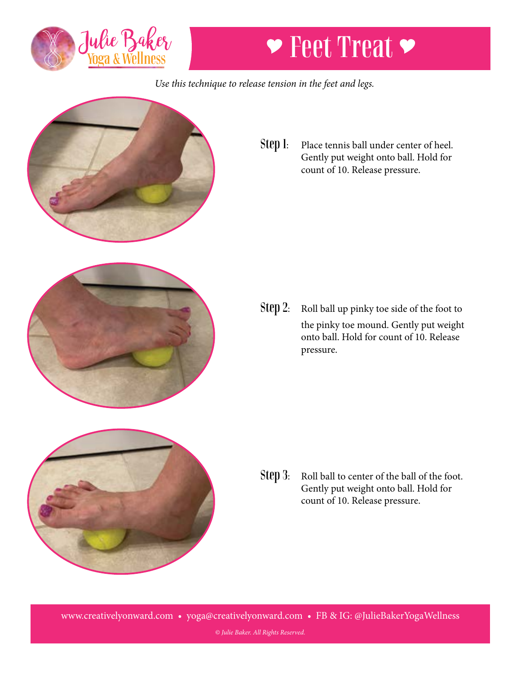

## **▼ Feet Treat ▶**

*Use this technique to release tension in the feet and legs.*



Step 1: Place tennis ball under center of heel. Gently put weight onto ball. Hold for count of 10. Release pressure.



Step 2: Roll ball up pinky toe side of the foot to the pinky toe mound. Gently put weight onto ball. Hold for count of 10. Release pressure.



Step 3: Roll ball to center of the ball of the foot. Gently put weight onto ball. Hold for count of 10. Release pressure.